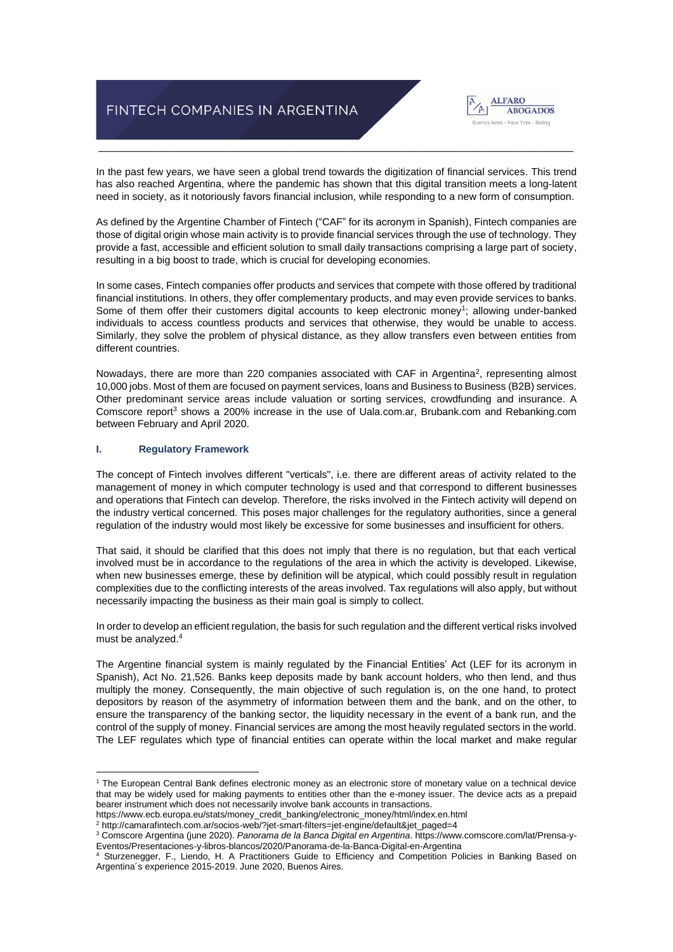# FINTECH COMPANIES IN ARGENTINA



In the past few years, we have seen a global trend towards the digitization of financial services. This trend has also reached Argentina, where the pandemic has shown that this digital transition meets a long-latent need in society, as it notoriously favors financial inclusion, while responding to a new form of consumption.

\_\_\_\_\_\_\_\_\_\_\_\_\_\_\_\_\_\_\_\_\_\_\_\_\_\_\_\_\_\_\_\_\_\_\_\_\_\_\_\_\_\_\_\_\_\_\_\_\_\_\_\_\_\_\_\_\_\_\_\_\_\_\_\_\_\_\_\_\_\_\_\_\_\_\_\_\_\_\_\_\_\_\_\_

As defined by the Argentine Chamber of Fintech ("CAF" for its acronym in Spanish), Fintech companies are those of digital origin whose main activity is to provide financial services through the use of technology. They provide a fast, accessible and efficient solution to small daily transactions comprising a large part of society, resulting in a big boost to trade, which is crucial for developing economies.

In some cases, Fintech companies offer products and services that compete with those offered by traditional financial institutions. In others, they offer complementary products, and may even provide services to banks. Some of them offer their customers digital accounts to keep electronic money<sup>1</sup>; allowing under-banked individuals to access countless products and services that otherwise, they would be unable to access. Similarly, they solve the problem of physical distance, as they allow transfers even between entities from different countries.

Nowadays, there are more than 220 companies associated with CAF in Argentina<sup>2</sup>, representing almost 10,000 jobs. Most of them are focused on payment services, loans and Business to Business (B2B) services. Other predominant service areas include valuation or sorting services, crowdfunding and insurance. A Comscore report<sup>3</sup> shows a 200% increase in the use of Uala.com.ar, Brubank.com and Rebanking.com between February and April 2020.

#### **I. Regulatory Framework**

The concept of Fintech involves different "verticals", i.e. there are different areas of activity related to the management of money in which computer technology is used and that correspond to different businesses and operations that Fintech can develop. Therefore, the risks involved in the Fintech activity will depend on the industry vertical concerned. This poses major challenges for the regulatory authorities, since a general regulation of the industry would most likely be excessive for some businesses and insufficient for others.

That said, it should be clarified that this does not imply that there is no regulation, but that each vertical involved must be in accordance to the regulations of the area in which the activity is developed. Likewise, when new businesses emerge, these by definition will be atypical, which could possibly result in regulation complexities due to the conflicting interests of the areas involved. Tax regulations will also apply, but without necessarily impacting the business as their main goal is simply to collect.

In order to develop an efficient regulation, the basis for such regulation and the different vertical risks involved must be analyzed. 4

The Argentine financial system is mainly regulated by the Financial Entities' Act (LEF for its acronym in Spanish), Act No. 21,526. Banks keep deposits made by bank account holders, who then lend, and thus multiply the money. Consequently, the main objective of such regulation is, on the one hand, to protect depositors by reason of the asymmetry of information between them and the bank, and on the other, to ensure the transparency of the banking sector, the liquidity necessary in the event of a bank run, and the control of the supply of money. Financial services are among the most heavily regulated sectors in the world. The LEF regulates which type of financial entities can operate within the local market and make regular

- https://www.ecb.europa.eu/stats/money\_credit\_banking/electronic\_money/html/index.en.html
- <sup>2</sup> http://camarafintech.com.ar/socios-web/?jet-smart-filters=jet-engine/default&jet\_paged=4

<sup>1</sup> The European Central Bank defines electronic money as an electronic store of monetary value on a technical device that may be widely used for making payments to entities other than the e-money issuer. The device acts as a prepaid bearer instrument which does not necessarily involve bank accounts in transactions.

<sup>3</sup> Comscore Argentina (june 2020). *Panorama de la Banca Digital en Argentina*. https://www.comscore.com/lat/Prensa-y-Eventos/Presentaciones-y-libros-blancos/2020/Panorama-de-la-Banca-Digital-en-Argentina

<sup>4</sup> Sturzenegger, F., Liendo, H. A Practitioners Guide to Efficiency and Competition Policies in Banking Based on Argentina´s experience 2015-2019. June 2020, Buenos Aires.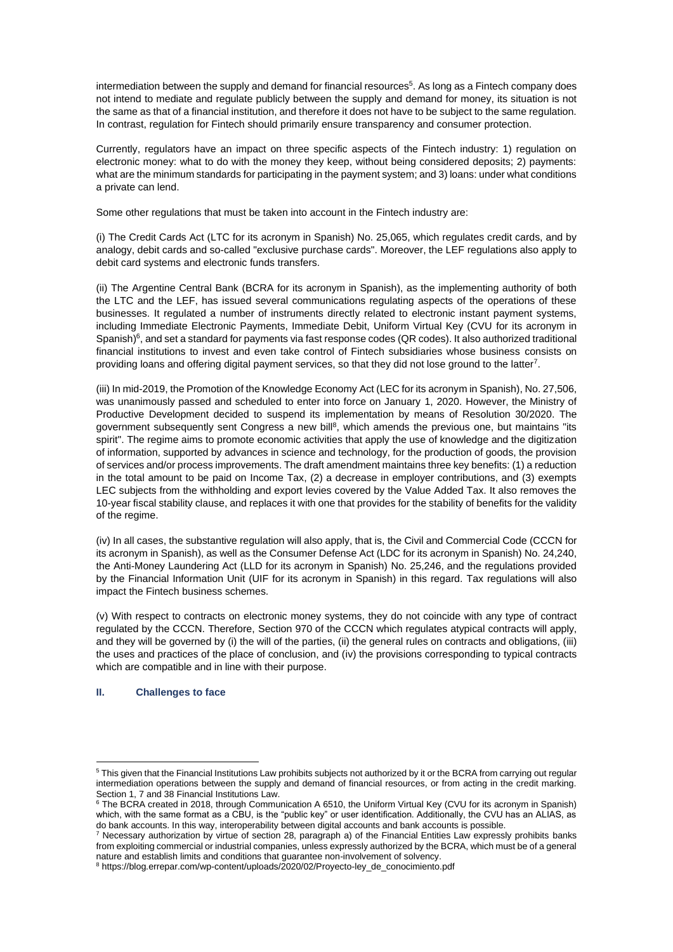intermediation between the supply and demand for financial resources<sup>5</sup>. As long as a Fintech company does not intend to mediate and regulate publicly between the supply and demand for money, its situation is not the same as that of a financial institution, and therefore it does not have to be subject to the same regulation. In contrast, regulation for Fintech should primarily ensure transparency and consumer protection.

Currently, regulators have an impact on three specific aspects of the Fintech industry: 1) regulation on electronic money: what to do with the money they keep, without being considered deposits; 2) payments: what are the minimum standards for participating in the payment system; and 3) loans: under what conditions a private can lend.

Some other regulations that must be taken into account in the Fintech industry are:

(i) The Credit Cards Act (LTC for its acronym in Spanish) No. 25,065, which regulates credit cards, and by analogy, debit cards and so-called "exclusive purchase cards". Moreover, the LEF regulations also apply to debit card systems and electronic funds transfers.

(ii) The Argentine Central Bank (BCRA for its acronym in Spanish), as the implementing authority of both the LTC and the LEF, has issued several communications regulating aspects of the operations of these businesses. It regulated a number of instruments directly related to electronic instant payment systems, including Immediate Electronic Payments, Immediate Debit, Uniform Virtual Key (CVU for its acronym in Spanish) $6$ , and set a standard for payments via fast response codes (QR codes). It also authorized traditional financial institutions to invest and even take control of Fintech subsidiaries whose business consists on providing loans and offering digital payment services, so that they did not lose ground to the latter<sup>7</sup>.

(iii) In mid-2019, the Promotion of the Knowledge Economy Act (LEC for its acronym in Spanish), No. 27,506, was unanimously passed and scheduled to enter into force on January 1, 2020. However, the Ministry of Productive Development decided to suspend its implementation by means of Resolution 30/2020. The government subsequently sent Congress a new bill<sup>8</sup>, which amends the previous one, but maintains "its spirit". The regime aims to promote economic activities that apply the use of knowledge and the digitization of information, supported by advances in science and technology, for the production of goods, the provision of services and/or process improvements. The draft amendment maintains three key benefits: (1) a reduction in the total amount to be paid on Income Tax, (2) a decrease in employer contributions, and (3) exempts LEC subjects from the withholding and export levies covered by the Value Added Tax. It also removes the 10-year fiscal stability clause, and replaces it with one that provides for the stability of benefits for the validity of the regime.

(iv) In all cases, the substantive regulation will also apply, that is, the Civil and Commercial Code (CCCN for its acronym in Spanish), as well as the Consumer Defense Act (LDC for its acronym in Spanish) No. 24,240, the Anti-Money Laundering Act (LLD for its acronym in Spanish) No. 25,246, and the regulations provided by the Financial Information Unit (UIF for its acronym in Spanish) in this regard. Tax regulations will also impact the Fintech business schemes.

(v) With respect to contracts on electronic money systems, they do not coincide with any type of contract regulated by the CCCN. Therefore, Section 970 of the CCCN which regulates atypical contracts will apply, and they will be governed by (i) the will of the parties, (ii) the general rules on contracts and obligations, (iii) the uses and practices of the place of conclusion, and (iv) the provisions corresponding to typical contracts which are compatible and in line with their purpose.

## **II. Challenges to face**

<sup>5</sup> This given that the Financial Institutions Law prohibits subjects not authorized by it or the BCRA from carrying out regular intermediation operations between the supply and demand of financial resources, or from acting in the credit marking. Section 1, 7 and 38 Financial Institutions Law.

<sup>6</sup> The BCRA created in 2018, through Communication A 6510, the Uniform Virtual Key (CVU for its acronym in Spanish) which, with the same format as a CBU, is the "public key" or user identification. Additionally, the CVU has an ALIAS, as do bank accounts. In this way, interoperability between digital accounts and bank accounts is possible.

<sup>&</sup>lt;sup>7</sup> Necessary authorization by virtue of section 28, paragraph a) of the Financial Entities Law expressly prohibits banks from exploiting commercial or industrial companies, unless expressly authorized by the BCRA, which must be of a general nature and establish limits and conditions that guarantee non-involvement of solvency.

<sup>&</sup>lt;sup>8</sup> https://blog.errepar.com/wp-content/uploads/2020/02/Proyecto-ley\_de\_conocimiento.pdf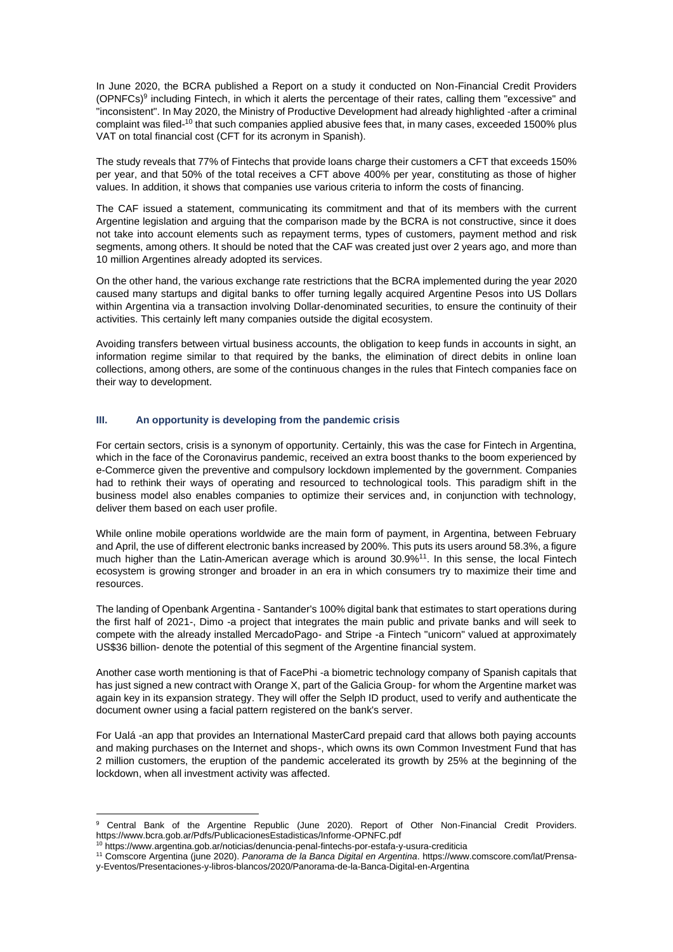In June 2020, the BCRA published a Report on a study it conducted on Non-Financial Credit Providers (OPNFCs)<sup>9</sup> including Fintech, in which it alerts the percentage of their rates, calling them "excessive" and "inconsistent". In May 2020, the Ministry of Productive Development had already highlighted -after a criminal complaint was filed-<sup>10</sup> that such companies applied abusive fees that, in many cases, exceeded 1500% plus VAT on total financial cost (CFT for its acronym in Spanish).

The study reveals that 77% of Fintechs that provide loans charge their customers a CFT that exceeds 150% per year, and that 50% of the total receives a CFT above 400% per year, constituting as those of higher values. In addition, it shows that companies use various criteria to inform the costs of financing.

The CAF issued a statement, communicating its commitment and that of its members with the current Argentine legislation and arguing that the comparison made by the BCRA is not constructive, since it does not take into account elements such as repayment terms, types of customers, payment method and risk segments, among others. It should be noted that the CAF was created just over 2 years ago, and more than 10 million Argentines already adopted its services.

On the other hand, the various exchange rate restrictions that the BCRA implemented during the year 2020 caused many startups and digital banks to offer turning legally acquired Argentine Pesos into US Dollars within Argentina via a transaction involving Dollar-denominated securities, to ensure the continuity of their activities. This certainly left many companies outside the digital ecosystem.

Avoiding transfers between virtual business accounts, the obligation to keep funds in accounts in sight, an information regime similar to that required by the banks, the elimination of direct debits in online loan collections, among others, are some of the continuous changes in the rules that Fintech companies face on their way to development.

#### **III. An opportunity is developing from the pandemic crisis**

For certain sectors, crisis is a synonym of opportunity. Certainly, this was the case for Fintech in Argentina, which in the face of the Coronavirus pandemic, received an extra boost thanks to the boom experienced by e-Commerce given the preventive and compulsory lockdown implemented by the government. Companies had to rethink their ways of operating and resourced to technological tools. This paradigm shift in the business model also enables companies to optimize their services and, in conjunction with technology, deliver them based on each user profile.

While online mobile operations worldwide are the main form of payment, in Argentina, between February and April, the use of different electronic banks increased by 200%. This puts its users around 58.3%, a figure much higher than the Latin-American average which is around 30.9%<sup>11</sup>. In this sense, the local Fintech ecosystem is growing stronger and broader in an era in which consumers try to maximize their time and resources.

The landing of Openbank Argentina - Santander's 100% digital bank that estimates to start operations during the first half of 2021-, Dimo -a project that integrates the main public and private banks and will seek to compete with the already installed MercadoPago- and Stripe -a Fintech "unicorn" valued at approximately US\$36 billion- denote the potential of this segment of the Argentine financial system.

Another case worth mentioning is that of FacePhi -a biometric technology company of Spanish capitals that has just signed a new contract with Orange X, part of the Galicia Group- for whom the Argentine market was again key in its expansion strategy. They will offer the Selph ID product, used to verify and authenticate the document owner using a facial pattern registered on the bank's server.

For Ualá -an app that provides an International MasterCard prepaid card that allows both paying accounts and making purchases on the Internet and shops-, which owns its own Common Investment Fund that has 2 million customers, the eruption of the pandemic accelerated its growth by 25% at the beginning of the lockdown, when all investment activity was affected.

<sup>&</sup>lt;sup>9</sup> Central Bank of the Argentine Republic (June 2020). Report of Other Non-Financial Credit Providers. https://www.bcra.gob.ar/Pdfs/PublicacionesEstadisticas/Informe-OPNFC.pdf

<sup>10</sup> https://www.argentina.gob.ar/noticias/denuncia-penal-fintechs-por-estafa-y-usura-crediticia

<sup>11</sup> Comscore Argentina (june 2020). *Panorama de la Banca Digital en Argentina*. https://www.comscore.com/lat/Prensa-

y-Eventos/Presentaciones-y-libros-blancos/2020/Panorama-de-la-Banca-Digital-en-Argentina